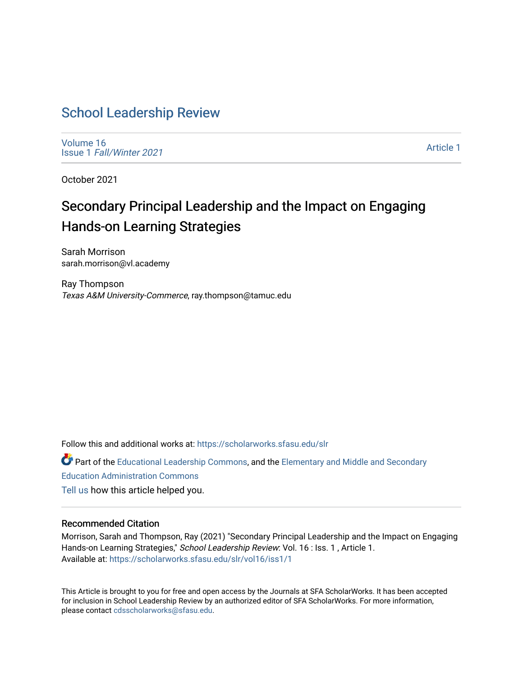# [School Leadership Review](https://scholarworks.sfasu.edu/slr)

[Volume 16](https://scholarworks.sfasu.edu/slr/vol16) Issue 1 [Fall/Winter 2021](https://scholarworks.sfasu.edu/slr/vol16/iss1) 

[Article 1](https://scholarworks.sfasu.edu/slr/vol16/iss1/1) 

October 2021

# Secondary Principal Leadership and the Impact on Engaging Hands-on Learning Strategies

Sarah Morrison sarah.morrison@vl.academy

Ray Thompson Texas A&M University-Commerce, ray.thompson@tamuc.edu

Follow this and additional works at: [https://scholarworks.sfasu.edu/slr](https://scholarworks.sfasu.edu/slr?utm_source=scholarworks.sfasu.edu%2Fslr%2Fvol16%2Fiss1%2F1&utm_medium=PDF&utm_campaign=PDFCoverPages) 

**C** Part of the [Educational Leadership Commons,](http://network.bepress.com/hgg/discipline/1230?utm_source=scholarworks.sfasu.edu%2Fslr%2Fvol16%2Fiss1%2F1&utm_medium=PDF&utm_campaign=PDFCoverPages) and the Elementary and Middle and Secondary [Education Administration Commons](http://network.bepress.com/hgg/discipline/790?utm_source=scholarworks.sfasu.edu%2Fslr%2Fvol16%2Fiss1%2F1&utm_medium=PDF&utm_campaign=PDFCoverPages)  [Tell us](http://sfasu.qualtrics.com/SE/?SID=SV_0qS6tdXftDLradv) how this article helped you.

# Recommended Citation

Morrison, Sarah and Thompson, Ray (2021) "Secondary Principal Leadership and the Impact on Engaging Hands-on Learning Strategies," School Leadership Review: Vol. 16 : Iss. 1, Article 1. Available at: [https://scholarworks.sfasu.edu/slr/vol16/iss1/1](https://scholarworks.sfasu.edu/slr/vol16/iss1/1?utm_source=scholarworks.sfasu.edu%2Fslr%2Fvol16%2Fiss1%2F1&utm_medium=PDF&utm_campaign=PDFCoverPages)

This Article is brought to you for free and open access by the Journals at SFA ScholarWorks. It has been accepted for inclusion in School Leadership Review by an authorized editor of SFA ScholarWorks. For more information, please contact [cdsscholarworks@sfasu.edu.](mailto:cdsscholarworks@sfasu.edu)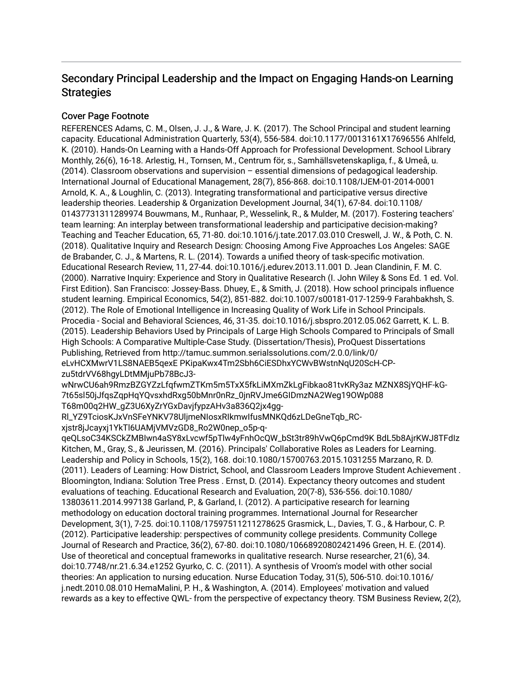# Secondary Principal Leadership and the Impact on Engaging Hands-on Learning **Strategies**

# Cover Page Footnote

REFERENCES Adams, C. M., Olsen, J. J., & Ware, J. K. (2017). The School Principal and student learning capacity. Educational Administration Quarterly, 53(4), 556-584. doi:10.1177/0013161X17696556 Ahlfeld, K. (2010). Hands-On Learning with a Hands-Off Approach for Professional Development. School Library Monthly, 26(6), 16-18. Arlestig, H., Tornsen, M., Centrum för, s., Samhällsvetenskapliga, f., & Umeå, u. (2014). Classroom observations and supervision – essential dimensions of pedagogical leadership. International Journal of Educational Management, 28(7), 856-868. doi:10.1108/IJEM-01-2014-0001 Arnold, K. A., & Loughlin, C. (2013). Integrating transformational and participative versus directive leadership theories. Leadership & Organization Development Journal, 34(1), 67-84. doi:10.1108/ 01437731311289974 Bouwmans, M., Runhaar, P., Wesselink, R., & Mulder, M. (2017). Fostering teachers' team learning: An interplay between transformational leadership and participative decision-making? Teaching and Teacher Education, 65, 71-80. doi:10.1016/j.tate.2017.03.010 Creswell, J. W., & Poth, C. N. (2018). Qualitative Inquiry and Research Design: Choosing Among Five Approaches Los Angeles: SAGE de Brabander, C. J., & Martens, R. L. (2014). Towards a unified theory of task-specific motivation. Educational Research Review, 11, 27-44. doi:10.1016/j.edurev.2013.11.001 D. Jean Clandinin, F. M. C. (2000). Narrative Inquiry: Experience and Story in Qualitative Research (I. John Wiley & Sons Ed. 1 ed. Vol. First Edition). San Francisco: Jossey-Bass. Dhuey, E., & Smith, J. (2018). How school principals influence student learning. Empirical Economics, 54(2), 851-882. doi:10.1007/s00181-017-1259-9 Farahbakhsh, S. (2012). The Role of Emotional Intelligence in Increasing Quality of Work Life in School Principals. Procedia - Social and Behavioral Sciences, 46, 31-35. doi:10.1016/j.sbspro.2012.05.062 Garrett, K. L. B. (2015). Leadership Behaviors Used by Principals of Large High Schools Compared to Principals of Small High Schools: A Comparative Multiple-Case Study. (Dissertation/Thesis), ProQuest Dissertations Publishing, Retrieved from http://tamuc.summon.serialssolutions.com/2.0.0/link/0/ eLvHCXMwrV1LS8NAEB5qexE PKipaKwx4Tm2Sbh6CiESDhxYCWvBWstnNqU20ScH-CPzu5tdrVV68hgyLDtMMjuPb78BcJ3-

wNrwCU6ah9RmzBZGYZzLfqfwmZTKm5m5TxX5fkLiMXmZkLgFibkao81tvKRy3az MZNX8SjYQHF-kG-7t65sl50jJfqsZqpHqYQvsxhdRxg50bMnr0nRz\_0jnRVJme6GIDmzNA2Weg19OWp088 T68m00q2HW\_gZ3U6XyZrYGxDavjfypzAHv3a836Q2jx4gg-

Rl\_YZ9TciosKJxVnSFeYNKV78UljmeNIosxRIkmwIfusMNKQd6zLDeGneTqb\_RCxjstr8jJcayxj1YkTl6UAMjVMVzGD8\_Ro2W0nep\_o5p-q-

qeQLsoC34KSCkZMBIwn4aSY8xLvcwf5pTlw4yFnhOcQW\_bSt3tr89hVwQ6pCmd9K BdL5b8AjrKWJ8TFdIz Kitchen, M., Gray, S., & Jeurissen, M. (2016). Principals' Collaborative Roles as Leaders for Learning. Leadership and Policy in Schools, 15(2), 168. doi:10.1080/15700763.2015.1031255 Marzano, R. D. (2011). Leaders of Learning: How District, School, and Classroom Leaders Improve Student Achievement . Bloomington, Indiana: Solution Tree Press . Ernst, D. (2014). Expectancy theory outcomes and student evaluations of teaching. Educational Research and Evaluation, 20(7-8), 536-556. doi:10.1080/ 13803611.2014.997138 Garland, P., & Garland, I. (2012). A participative research for learning methodology on education doctoral training programmes. International Journal for Researcher Development, 3(1), 7-25. doi:10.1108/17597511211278625 Grasmick, L., Davies, T. G., & Harbour, C. P. (2012). Participative leadership: perspectives of community college presidents. Community College Journal of Research and Practice, 36(2), 67-80. doi:10.1080/10668920802421496 Green, H. E. (2014). Use of theoretical and conceptual frameworks in qualitative research. Nurse researcher, 21(6), 34. doi:10.7748/nr.21.6.34.e1252 Gyurko, C. C. (2011). A synthesis of Vroom's model with other social theories: An application to nursing education. Nurse Education Today, 31(5), 506-510. doi:10.1016/ j.nedt.2010.08.010 HemaMalini, P. H., & Washington, A. (2014). Employees' motivation and valued rewards as a key to effective QWL- from the perspective of expectancy theory. TSM Business Review, 2(2),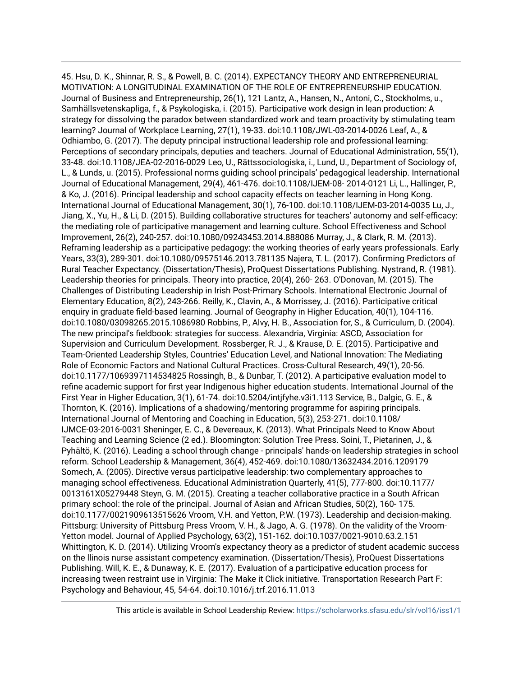45. Hsu, D. K., Shinnar, R. S., & Powell, B. C. (2014). EXPECTANCY THEORY AND ENTREPRENEURIAL MOTIVATION: A LONGITUDINAL EXAMINATION OF THE ROLE OF ENTREPRENEURSHIP EDUCATION. Journal of Business and Entrepreneurship, 26(1), 121 Lantz, A., Hansen, N., Antoni, C., Stockholms, u., Samhällsvetenskapliga, f., & Psykologiska, i. (2015). Participative work design in lean production: A strategy for dissolving the paradox between standardized work and team proactivity by stimulating team learning? Journal of Workplace Learning, 27(1), 19-33. doi:10.1108/JWL-03-2014-0026 Leaf, A., & Odhiambo, G. (2017). The deputy principal instructional leadership role and professional learning: Perceptions of secondary principals, deputies and teachers. Journal of Educational Administration, 55(1), 33-48. doi:10.1108/JEA-02-2016-0029 Leo, U., Rättssociologiska, i., Lund, U., Department of Sociology of, L., & Lunds, u. (2015). Professional norms guiding school principals' pedagogical leadership. International Journal of Educational Management, 29(4), 461-476. doi:10.1108/IJEM-08- 2014-0121 Li, L., Hallinger, P., & Ko, J. (2016). Principal leadership and school capacity effects on teacher learning in Hong Kong. International Journal of Educational Management, 30(1), 76-100. doi:10.1108/IJEM-03-2014-0035 Lu, J., Jiang, X., Yu, H., & Li, D. (2015). Building collaborative structures for teachers' autonomy and self-efficacy: the mediating role of participative management and learning culture. School Effectiveness and School Improvement, 26(2), 240-257. doi:10.1080/09243453.2014.888086 Murray, J., & Clark, R. M. (2013). Reframing leadership as a participative pedagogy: the working theories of early years professionals. Early Years, 33(3), 289-301. doi:10.1080/09575146.2013.781135 Najera, T. L. (2017). Confirming Predictors of Rural Teacher Expectancy. (Dissertation/Thesis), ProQuest Dissertations Publishing. Nystrand, R. (1981). Leadership theories for principals. Theory into practice, 20(4), 260- 263. O'Donovan, M. (2015). The Challenges of Distributing Leadership in Irish Post-Primary Schools. International Electronic Journal of Elementary Education, 8(2), 243-266. Reilly, K., Clavin, A., & Morrissey, J. (2016). Participative critical enquiry in graduate field-based learning. Journal of Geography in Higher Education, 40(1), 104-116. doi:10.1080/03098265.2015.1086980 Robbins, P., Alvy, H. B., Association for, S., & Curriculum, D. (2004). The new principal's fieldbook: strategies for success. Alexandria, Virginia: ASCD, Association for Supervision and Curriculum Development. Rossberger, R. J., & Krause, D. E. (2015). Participative and Team-Oriented Leadership Styles, Countries' Education Level, and National Innovation: The Mediating Role of Economic Factors and National Cultural Practices. Cross-Cultural Research, 49(1), 20-56. doi:10.1177/1069397114534825 Rossingh, B., & Dunbar, T. (2012). A participative evaluation model to refine academic support for first year Indigenous higher education students. International Journal of the First Year in Higher Education, 3(1), 61-74. doi:10.5204/intjfyhe.v3i1.113 Service, B., Dalgic, G. E., & Thornton, K. (2016). Implications of a shadowing/mentoring programme for aspiring principals. International Journal of Mentoring and Coaching in Education, 5(3), 253-271. doi:10.1108/ IJMCE-03-2016-0031 Sheninger, E. C., & Devereaux, K. (2013). What Principals Need to Know About Teaching and Learning Science (2 ed.). Bloomington: Solution Tree Press. Soini, T., Pietarinen, J., & Pyhältö, K. (2016). Leading a school through change - principals' hands-on leadership strategies in school reform. School Leadership & Management, 36(4), 452-469. doi:10.1080/13632434.2016.1209179 Somech, A. (2005). Directive versus participative leadership: two complementary approaches to managing school effectiveness. Educational Administration Quarterly, 41(5), 777-800. doi:10.1177/ 0013161X05279448 Steyn, G. M. (2015). Creating a teacher collaborative practice in a South African primary school: the role of the principal. Journal of Asian and African Studies, 50(2), 160- 175. doi:10.1177/0021909613515626 Vroom, V.H. and Yetton, P.W. (1973). Leadership and decision-making. Pittsburg: University of Pittsburg Press Vroom, V. H., & Jago, A. G. (1978). On the validity of the Vroom-Yetton model. Journal of Applied Psychology, 63(2), 151-162. doi:10.1037/0021-9010.63.2.151 Whittington, K. D. (2014). Utilizing Vroom's expectancy theory as a predictor of student academic success on the llinois nurse assistant competency examination. (Dissertation/Thesis), ProQuest Dissertations Publishing. Will, K. E., & Dunaway, K. E. (2017). Evaluation of a participative education process for increasing tween restraint use in Virginia: The Make it Click initiative. Transportation Research Part F: Psychology and Behaviour, 45, 54-64. doi:10.1016/j.trf.2016.11.013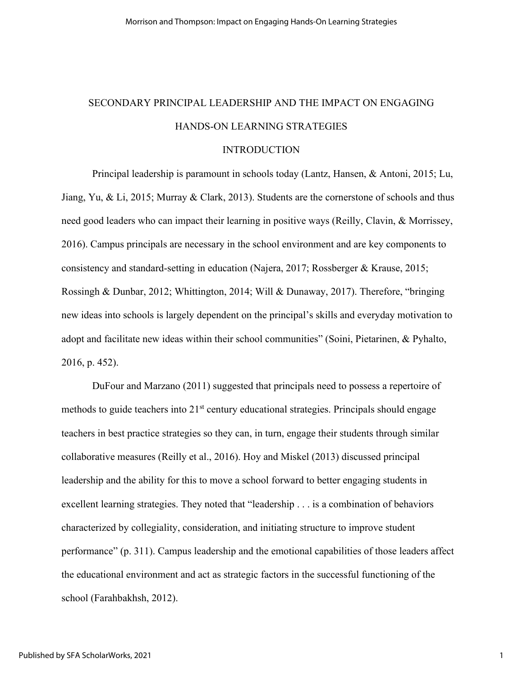# SECONDARY PRINCIPAL LEADERSHIP AND THE IMPACT ON ENGAGING HANDS-ON LEARNING STRATEGIES

# **INTRODUCTION**

Principal leadership is paramount in schools today (Lantz, Hansen, & Antoni, 2015; Lu, Jiang, Yu, & Li, 2015; Murray & Clark, 2013). Students are the cornerstone of schools and thus need good leaders who can impact their learning in positive ways (Reilly, Clavin, & Morrissey, 2016). Campus principals are necessary in the school environment and are key components to consistency and standard-setting in education (Najera, 2017; Rossberger & Krause, 2015; Rossingh & Dunbar, 2012; Whittington, 2014; Will & Dunaway, 2017). Therefore, "bringing new ideas into schools is largely dependent on the principal's skills and everyday motivation to adopt and facilitate new ideas within their school communities" (Soini, Pietarinen, & Pyhalto, 2016, p. 452).

DuFour and Marzano (2011) suggested that principals need to possess a repertoire of methods to guide teachers into  $21<sup>st</sup>$  century educational strategies. Principals should engage teachers in best practice strategies so they can, in turn, engage their students through similar collaborative measures (Reilly et al., 2016). Hoy and Miskel (2013) discussed principal leadership and the ability for this to move a school forward to better engaging students in excellent learning strategies. They noted that "leadership . . . is a combination of behaviors characterized by collegiality, consideration, and initiating structure to improve student performance" (p. 311). Campus leadership and the emotional capabilities of those leaders affect the educational environment and act as strategic factors in the successful functioning of the school (Farahbakhsh, 2012).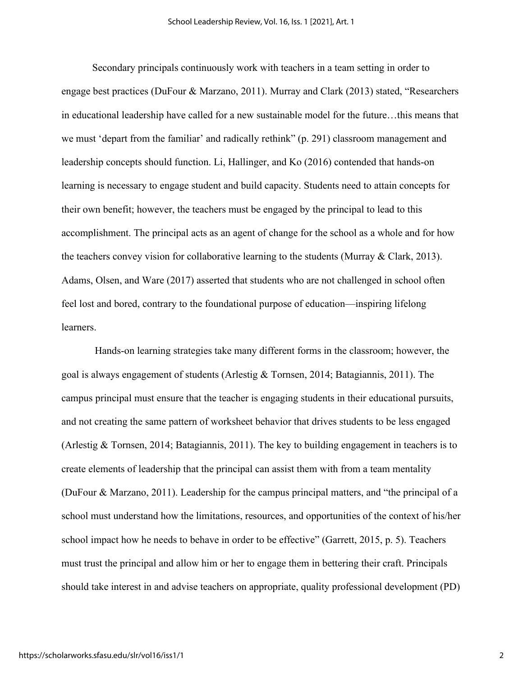Secondary principals continuously work with teachers in a team setting in order to engage best practices (DuFour & Marzano, 2011). Murray and Clark (2013) stated, "Researchers in educational leadership have called for a new sustainable model for the future…this means that we must 'depart from the familiar' and radically rethink" (p. 291) classroom management and leadership concepts should function. Li, Hallinger, and Ko (2016) contended that hands-on learning is necessary to engage student and build capacity. Students need to attain concepts for their own benefit; however, the teachers must be engaged by the principal to lead to this accomplishment. The principal acts as an agent of change for the school as a whole and for how the teachers convey vision for collaborative learning to the students (Murray  $& Clark, 2013$ ). Adams, Olsen, and Ware (2017) asserted that students who are not challenged in school often feel lost and bored, contrary to the foundational purpose of education—inspiring lifelong learners.

Hands-on learning strategies take many different forms in the classroom; however, the goal is always engagement of students (Arlestig & Tornsen, 2014; Batagiannis, 2011). The campus principal must ensure that the teacher is engaging students in their educational pursuits, and not creating the same pattern of worksheet behavior that drives students to be less engaged (Arlestig & Tornsen, 2014; Batagiannis, 2011). The key to building engagement in teachers is to create elements of leadership that the principal can assist them with from a team mentality (DuFour & Marzano, 2011). Leadership for the campus principal matters, and "the principal of a school must understand how the limitations, resources, and opportunities of the context of his/her school impact how he needs to behave in order to be effective" (Garrett, 2015, p. 5). Teachers must trust the principal and allow him or her to engage them in bettering their craft. Principals should take interest in and advise teachers on appropriate, quality professional development (PD)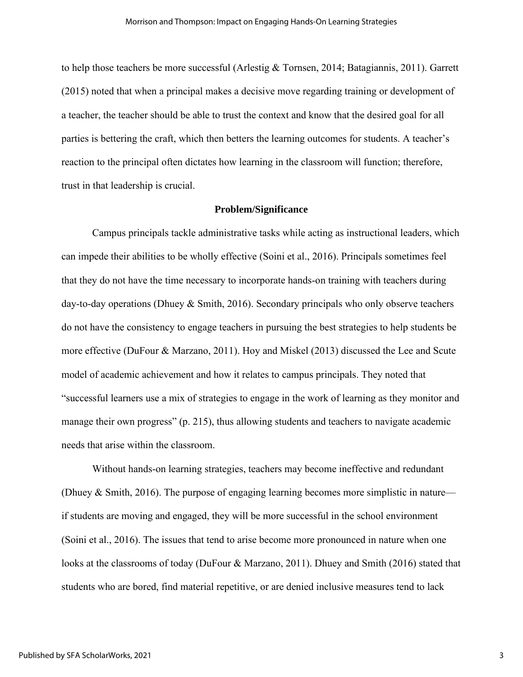to help those teachers be more successful (Arlestig & Tornsen, 2014; Batagiannis, 2011). Garrett (2015) noted that when a principal makes a decisive move regarding training or development of a teacher, the teacher should be able to trust the context and know that the desired goal for all parties is bettering the craft, which then betters the learning outcomes for students. A teacher's reaction to the principal often dictates how learning in the classroom will function; therefore, trust in that leadership is crucial.

# **Problem/Significance**

Campus principals tackle administrative tasks while acting as instructional leaders, which can impede their abilities to be wholly effective (Soini et al., 2016). Principals sometimes feel that they do not have the time necessary to incorporate hands-on training with teachers during day-to-day operations (Dhuey & Smith, 2016). Secondary principals who only observe teachers do not have the consistency to engage teachers in pursuing the best strategies to help students be more effective (DuFour & Marzano, 2011). Hoy and Miskel (2013) discussed the Lee and Scute model of academic achievement and how it relates to campus principals. They noted that "successful learners use a mix of strategies to engage in the work of learning as they monitor and manage their own progress" (p. 215), thus allowing students and teachers to navigate academic needs that arise within the classroom.

Without hands-on learning strategies, teachers may become ineffective and redundant (Dhuey & Smith, 2016). The purpose of engaging learning becomes more simplistic in nature if students are moving and engaged, they will be more successful in the school environment (Soini et al., 2016). The issues that tend to arise become more pronounced in nature when one looks at the classrooms of today (DuFour & Marzano, 2011). Dhuey and Smith (2016) stated that students who are bored, find material repetitive, or are denied inclusive measures tend to lack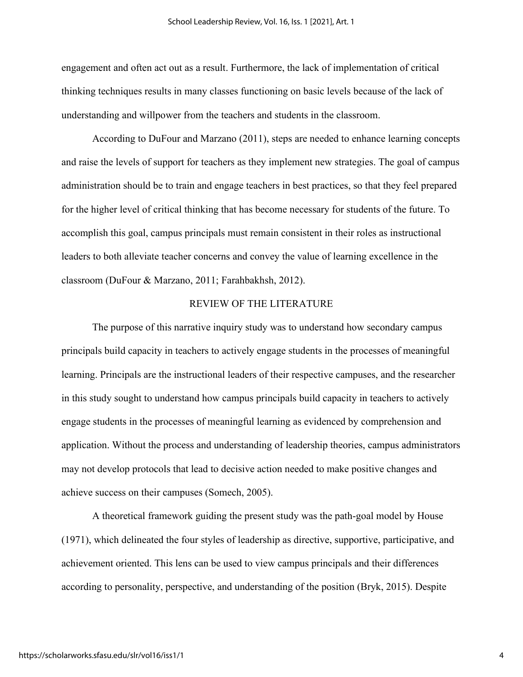engagement and often act out as a result. Furthermore, the lack of implementation of critical thinking techniques results in many classes functioning on basic levels because of the lack of understanding and willpower from the teachers and students in the classroom.

According to DuFour and Marzano (2011), steps are needed to enhance learning concepts and raise the levels of support for teachers as they implement new strategies. The goal of campus administration should be to train and engage teachers in best practices, so that they feel prepared for the higher level of critical thinking that has become necessary for students of the future. To accomplish this goal, campus principals must remain consistent in their roles as instructional leaders to both alleviate teacher concerns and convey the value of learning excellence in the classroom (DuFour & Marzano, 2011; Farahbakhsh, 2012).

# REVIEW OF THE LITERATURE

The purpose of this narrative inquiry study was to understand how secondary campus principals build capacity in teachers to actively engage students in the processes of meaningful learning. Principals are the instructional leaders of their respective campuses, and the researcher in this study sought to understand how campus principals build capacity in teachers to actively engage students in the processes of meaningful learning as evidenced by comprehension and application. Without the process and understanding of leadership theories, campus administrators may not develop protocols that lead to decisive action needed to make positive changes and achieve success on their campuses (Somech, 2005).

A theoretical framework guiding the present study was the path-goal model by House (1971), which delineated the four styles of leadership as directive, supportive, participative, and achievement oriented. This lens can be used to view campus principals and their differences according to personality, perspective, and understanding of the position (Bryk, 2015). Despite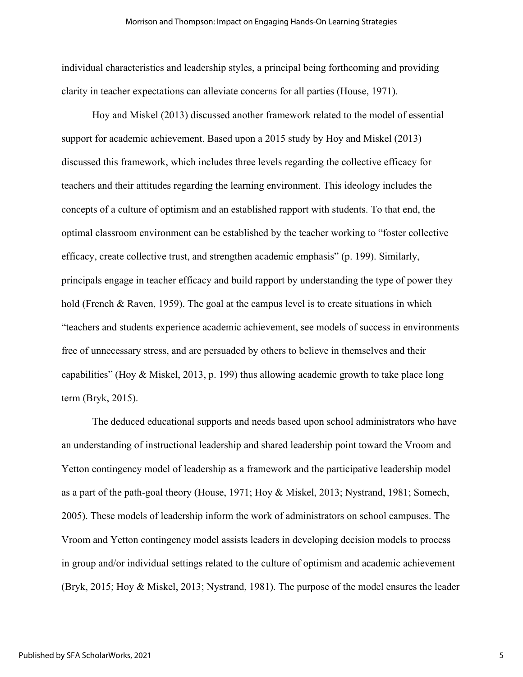individual characteristics and leadership styles, a principal being forthcoming and providing clarity in teacher expectations can alleviate concerns for all parties (House, 1971).

Hoy and Miskel (2013) discussed another framework related to the model of essential support for academic achievement. Based upon a 2015 study by Hoy and Miskel (2013) discussed this framework, which includes three levels regarding the collective efficacy for teachers and their attitudes regarding the learning environment. This ideology includes the concepts of a culture of optimism and an established rapport with students. To that end, the optimal classroom environment can be established by the teacher working to "foster collective efficacy, create collective trust, and strengthen academic emphasis" (p. 199). Similarly, principals engage in teacher efficacy and build rapport by understanding the type of power they hold (French & Raven, 1959). The goal at the campus level is to create situations in which "teachers and students experience academic achievement, see models of success in environments free of unnecessary stress, and are persuaded by others to believe in themselves and their capabilities" (Hoy & Miskel, 2013, p. 199) thus allowing academic growth to take place long term (Bryk, 2015).

The deduced educational supports and needs based upon school administrators who have an understanding of instructional leadership and shared leadership point toward the Vroom and Yetton contingency model of leadership as a framework and the participative leadership model as a part of the path-goal theory (House, 1971; Hoy & Miskel, 2013; Nystrand, 1981; Somech, 2005). These models of leadership inform the work of administrators on school campuses. The Vroom and Yetton contingency model assists leaders in developing decision models to process in group and/or individual settings related to the culture of optimism and academic achievement (Bryk, 2015; Hoy & Miskel, 2013; Nystrand, 1981). The purpose of the model ensures the leader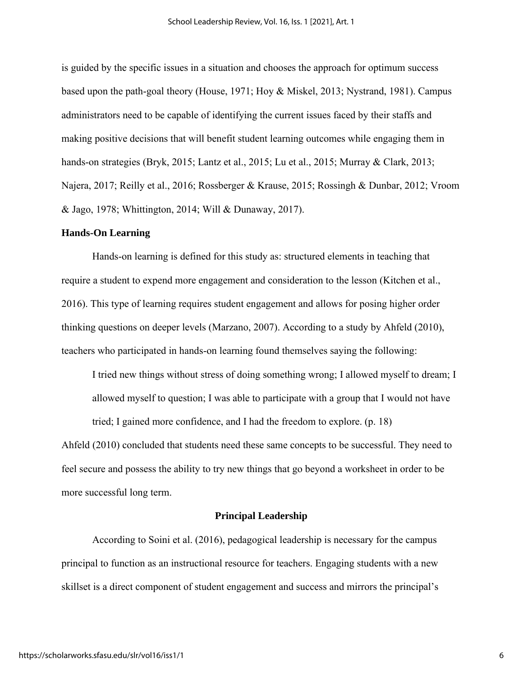is guided by the specific issues in a situation and chooses the approach for optimum success based upon the path-goal theory (House, 1971; Hoy & Miskel, 2013; Nystrand, 1981). Campus administrators need to be capable of identifying the current issues faced by their staffs and making positive decisions that will benefit student learning outcomes while engaging them in hands-on strategies (Bryk, 2015; Lantz et al., 2015; Lu et al., 2015; Murray & Clark, 2013; Najera, 2017; Reilly et al., 2016; Rossberger & Krause, 2015; Rossingh & Dunbar, 2012; Vroom & Jago, 1978; Whittington, 2014; Will & Dunaway, 2017).

# **Hands-On Learning**

Hands-on learning is defined for this study as: structured elements in teaching that require a student to expend more engagement and consideration to the lesson (Kitchen et al., 2016). This type of learning requires student engagement and allows for posing higher order thinking questions on deeper levels (Marzano, 2007). According to a study by Ahfeld (2010), teachers who participated in hands-on learning found themselves saying the following:

I tried new things without stress of doing something wrong; I allowed myself to dream; I allowed myself to question; I was able to participate with a group that I would not have tried; I gained more confidence, and I had the freedom to explore. (p. 18)

Ahfeld (2010) concluded that students need these same concepts to be successful. They need to feel secure and possess the ability to try new things that go beyond a worksheet in order to be more successful long term.

# **Principal Leadership**

According to Soini et al. (2016), pedagogical leadership is necessary for the campus principal to function as an instructional resource for teachers. Engaging students with a new skillset is a direct component of student engagement and success and mirrors the principal's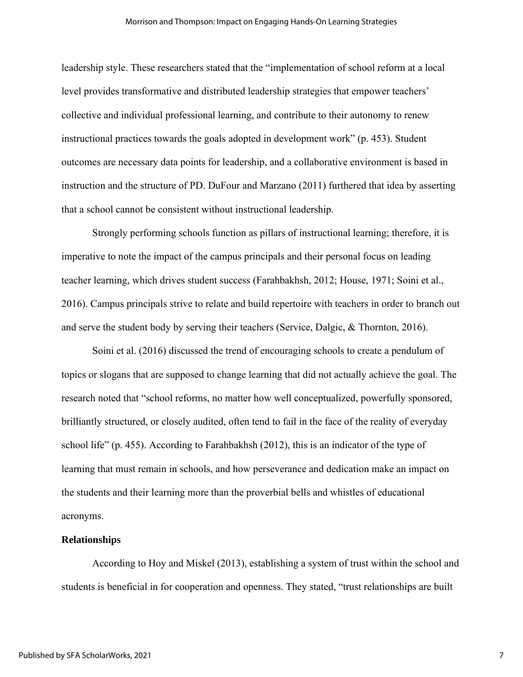leadership style. These researchers stated that the "implementation of school reform at a local level provides transformative and distributed leadership strategies that empower teachers' collective and individual professional learning, and contribute to their autonomy to renew instructional practices towards the goals adopted in development work" (p. 453). Student outcomes are necessary data points for leadership, and a collaborative environment is based in instruction and the structure of PD. DuFour and Marzano (2011) furthered that idea by asserting that a school cannot be consistent without instructional leadership.

Strongly performing schools function as pillars of instructional learning; therefore, it is imperative to note the impact of the campus principals and their personal focus on leading teacher learning, which drives student success (Farahbakhsh, 2012; House, 1971; Soini et al., 2016). Campus principals strive to relate and build repertoire with teachers in order to branch out and serve the student body by serving their teachers (Service, Dalgic, & Thornton, 2016).

Soini et al. (2016) discussed the trend of encouraging schools to create a pendulum of topics or slogans that are supposed to change learning that did not actually achieve the goal. The research noted that "school reforms, no matter how well conceptualized, powerfully sponsored, brilliantly structured, or closely audited, often tend to fail in the face of the reality of everyday school life" (p. 455). According to Farahbakhsh (2012), this is an indicator of the type of learning that must remain in schools, and how perseverance and dedication make an impact on the students and their learning more than the proverbial bells and whistles of educational acronyms.

#### **Relationships**

According to Hoy and Miskel (2013), establishing a system of trust within the school and students is beneficial in for cooperation and openness. They stated, "trust relationships are built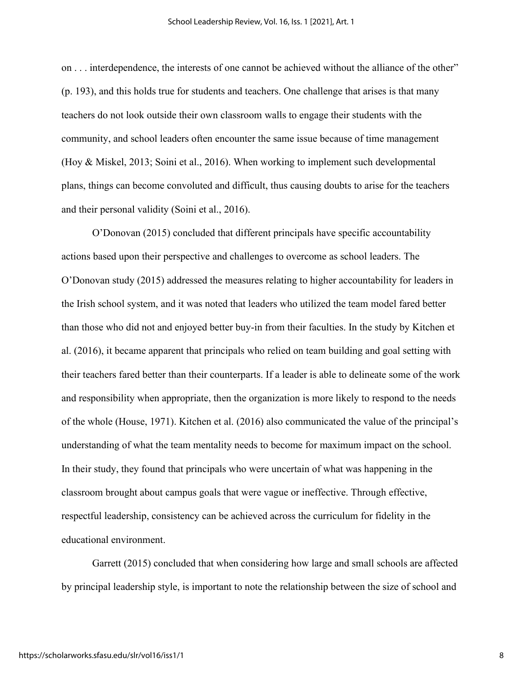on . . . interdependence, the interests of one cannot be achieved without the alliance of the other" (p. 193), and this holds true for students and teachers. One challenge that arises is that many teachers do not look outside their own classroom walls to engage their students with the community, and school leaders often encounter the same issue because of time management (Hoy & Miskel, 2013; Soini et al., 2016). When working to implement such developmental plans, things can become convoluted and difficult, thus causing doubts to arise for the teachers and their personal validity (Soini et al., 2016).

O'Donovan (2015) concluded that different principals have specific accountability actions based upon their perspective and challenges to overcome as school leaders. The O'Donovan study (2015) addressed the measures relating to higher accountability for leaders in the Irish school system, and it was noted that leaders who utilized the team model fared better than those who did not and enjoyed better buy-in from their faculties. In the study by Kitchen et al. (2016), it became apparent that principals who relied on team building and goal setting with their teachers fared better than their counterparts. If a leader is able to delineate some of the work and responsibility when appropriate, then the organization is more likely to respond to the needs of the whole (House, 1971). Kitchen et al. (2016) also communicated the value of the principal's understanding of what the team mentality needs to become for maximum impact on the school. In their study, they found that principals who were uncertain of what was happening in the classroom brought about campus goals that were vague or ineffective. Through effective, respectful leadership, consistency can be achieved across the curriculum for fidelity in the educational environment.

Garrett (2015) concluded that when considering how large and small schools are affected by principal leadership style, is important to note the relationship between the size of school and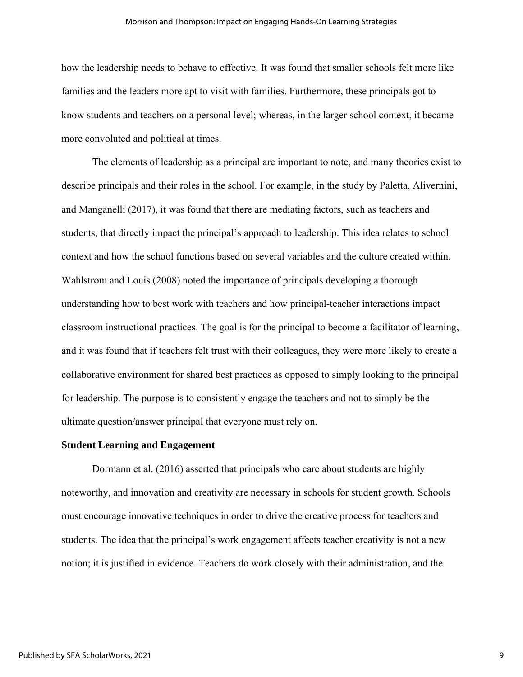how the leadership needs to behave to effective. It was found that smaller schools felt more like families and the leaders more apt to visit with families. Furthermore, these principals got to know students and teachers on a personal level; whereas, in the larger school context, it became more convoluted and political at times.

The elements of leadership as a principal are important to note, and many theories exist to describe principals and their roles in the school. For example, in the study by Paletta, Alivernini, and Manganelli (2017), it was found that there are mediating factors, such as teachers and students, that directly impact the principal's approach to leadership. This idea relates to school context and how the school functions based on several variables and the culture created within. Wahlstrom and Louis (2008) noted the importance of principals developing a thorough understanding how to best work with teachers and how principal-teacher interactions impact classroom instructional practices. The goal is for the principal to become a facilitator of learning, and it was found that if teachers felt trust with their colleagues, they were more likely to create a collaborative environment for shared best practices as opposed to simply looking to the principal for leadership. The purpose is to consistently engage the teachers and not to simply be the ultimate question/answer principal that everyone must rely on.

### **Student Learning and Engagement**

Dormann et al. (2016) asserted that principals who care about students are highly noteworthy, and innovation and creativity are necessary in schools for student growth. Schools must encourage innovative techniques in order to drive the creative process for teachers and students. The idea that the principal's work engagement affects teacher creativity is not a new notion; it is justified in evidence. Teachers do work closely with their administration, and the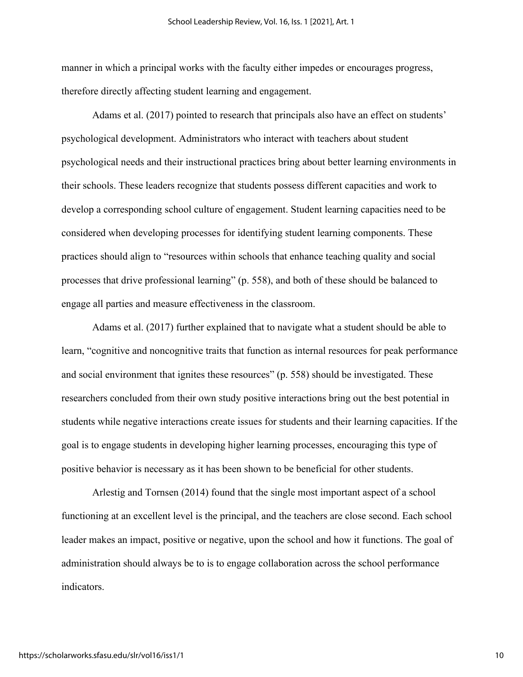manner in which a principal works with the faculty either impedes or encourages progress, therefore directly affecting student learning and engagement.

Adams et al. (2017) pointed to research that principals also have an effect on students' psychological development. Administrators who interact with teachers about student psychological needs and their instructional practices bring about better learning environments in their schools. These leaders recognize that students possess different capacities and work to develop a corresponding school culture of engagement. Student learning capacities need to be considered when developing processes for identifying student learning components. These practices should align to "resources within schools that enhance teaching quality and social processes that drive professional learning" (p. 558), and both of these should be balanced to engage all parties and measure effectiveness in the classroom.

Adams et al. (2017) further explained that to navigate what a student should be able to learn, "cognitive and noncognitive traits that function as internal resources for peak performance and social environment that ignites these resources" (p. 558) should be investigated. These researchers concluded from their own study positive interactions bring out the best potential in students while negative interactions create issues for students and their learning capacities. If the goal is to engage students in developing higher learning processes, encouraging this type of positive behavior is necessary as it has been shown to be beneficial for other students.

Arlestig and Tornsen (2014) found that the single most important aspect of a school functioning at an excellent level is the principal, and the teachers are close second. Each school leader makes an impact, positive or negative, upon the school and how it functions. The goal of administration should always be to is to engage collaboration across the school performance indicators.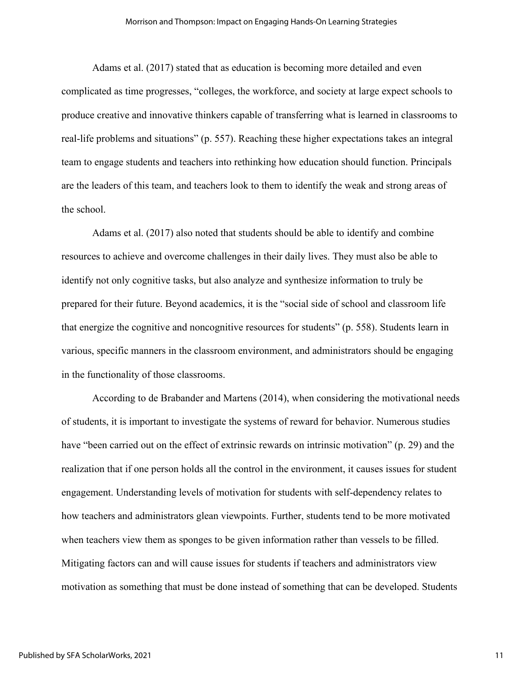Adams et al. (2017) stated that as education is becoming more detailed and even complicated as time progresses, "colleges, the workforce, and society at large expect schools to produce creative and innovative thinkers capable of transferring what is learned in classrooms to real-life problems and situations" (p. 557). Reaching these higher expectations takes an integral team to engage students and teachers into rethinking how education should function. Principals are the leaders of this team, and teachers look to them to identify the weak and strong areas of the school.

Adams et al. (2017) also noted that students should be able to identify and combine resources to achieve and overcome challenges in their daily lives. They must also be able to identify not only cognitive tasks, but also analyze and synthesize information to truly be prepared for their future. Beyond academics, it is the "social side of school and classroom life that energize the cognitive and noncognitive resources for students" (p. 558). Students learn in various, specific manners in the classroom environment, and administrators should be engaging in the functionality of those classrooms.

According to de Brabander and Martens (2014), when considering the motivational needs of students, it is important to investigate the systems of reward for behavior. Numerous studies have "been carried out on the effect of extrinsic rewards on intrinsic motivation" (p. 29) and the realization that if one person holds all the control in the environment, it causes issues for student engagement. Understanding levels of motivation for students with self-dependency relates to how teachers and administrators glean viewpoints. Further, students tend to be more motivated when teachers view them as sponges to be given information rather than vessels to be filled. Mitigating factors can and will cause issues for students if teachers and administrators view motivation as something that must be done instead of something that can be developed. Students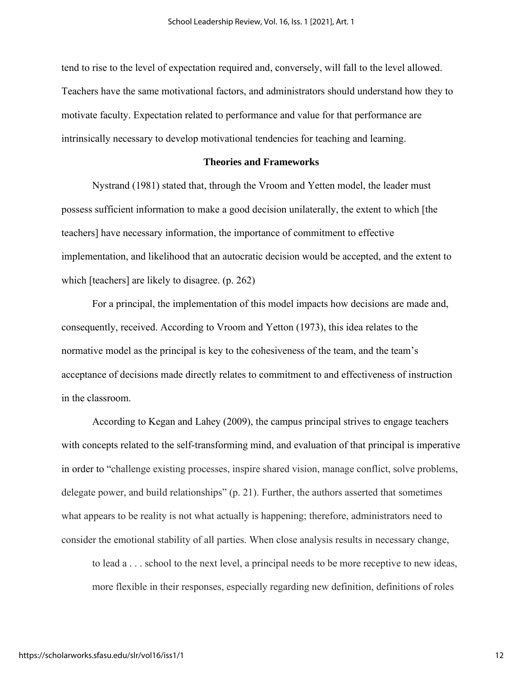tend to rise to the level of expectation required and, conversely, will fall to the level allowed. Teachers have the same motivational factors, and administrators should understand how they to motivate faculty. Expectation related to performance and value for that performance are intrinsically necessary to develop motivational tendencies for teaching and learning.

# **Theories and Frameworks**

Nystrand (1981) stated that, through the Vroom and Yetten model, the leader must possess sufficient information to make a good decision unilaterally, the extent to which [the teachers] have necessary information, the importance of commitment to effective implementation, and likelihood that an autocratic decision would be accepted, and the extent to which [teachers] are likely to disagree. (p. 262)

For a principal, the implementation of this model impacts how decisions are made and, consequently, received. According to Vroom and Yetton (1973), this idea relates to the normative model as the principal is key to the cohesiveness of the team, and the team's acceptance of decisions made directly relates to commitment to and effectiveness of instruction in the classroom.

According to Kegan and Lahey (2009), the campus principal strives to engage teachers with concepts related to the self-transforming mind, and evaluation of that principal is imperative in order to "challenge existing processes, inspire shared vision, manage conflict, solve problems, delegate power, and build relationships" (p. 21). Further, the authors asserted that sometimes what appears to be reality is not what actually is happening; therefore, administrators need to consider the emotional stability of all parties. When close analysis results in necessary change,

to lead a . . . school to the next level, a principal needs to be more receptive to new ideas, more flexible in their responses, especially regarding new definition, definitions of roles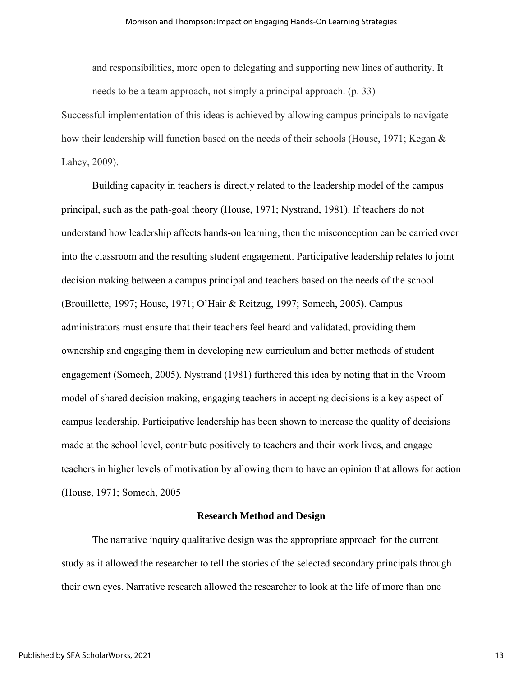and responsibilities, more open to delegating and supporting new lines of authority. It needs to be a team approach, not simply a principal approach. (p. 33)

Successful implementation of this ideas is achieved by allowing campus principals to navigate how their leadership will function based on the needs of their schools (House, 1971; Kegan & Lahey, 2009).

Building capacity in teachers is directly related to the leadership model of the campus principal, such as the path-goal theory (House, 1971; Nystrand, 1981). If teachers do not understand how leadership affects hands-on learning, then the misconception can be carried over into the classroom and the resulting student engagement. Participative leadership relates to joint decision making between a campus principal and teachers based on the needs of the school (Brouillette, 1997; House, 1971; O'Hair & Reitzug, 1997; Somech, 2005). Campus administrators must ensure that their teachers feel heard and validated, providing them ownership and engaging them in developing new curriculum and better methods of student engagement (Somech, 2005). Nystrand (1981) furthered this idea by noting that in the Vroom model of shared decision making, engaging teachers in accepting decisions is a key aspect of campus leadership. Participative leadership has been shown to increase the quality of decisions made at the school level, contribute positively to teachers and their work lives, and engage teachers in higher levels of motivation by allowing them to have an opinion that allows for action (House, 1971; Somech, 2005

# **Research Method and Design**

The narrative inquiry qualitative design was the appropriate approach for the current study as it allowed the researcher to tell the stories of the selected secondary principals through their own eyes. Narrative research allowed the researcher to look at the life of more than one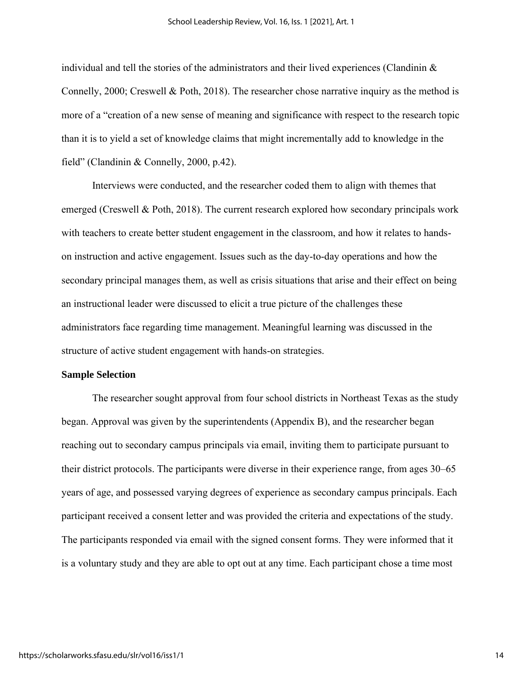individual and tell the stories of the administrators and their lived experiences (Clandinin  $\&$ Connelly, 2000; Creswell & Poth, 2018). The researcher chose narrative inquiry as the method is more of a "creation of a new sense of meaning and significance with respect to the research topic than it is to yield a set of knowledge claims that might incrementally add to knowledge in the field" (Clandinin & Connelly, 2000, p.42).

Interviews were conducted, and the researcher coded them to align with themes that emerged (Creswell & Poth, 2018). The current research explored how secondary principals work with teachers to create better student engagement in the classroom, and how it relates to handson instruction and active engagement. Issues such as the day-to-day operations and how the secondary principal manages them, as well as crisis situations that arise and their effect on being an instructional leader were discussed to elicit a true picture of the challenges these administrators face regarding time management. Meaningful learning was discussed in the structure of active student engagement with hands-on strategies.

#### **Sample Selection**

The researcher sought approval from four school districts in Northeast Texas as the study began. Approval was given by the superintendents (Appendix B), and the researcher began reaching out to secondary campus principals via email, inviting them to participate pursuant to their district protocols. The participants were diverse in their experience range, from ages 30–65 years of age, and possessed varying degrees of experience as secondary campus principals. Each participant received a consent letter and was provided the criteria and expectations of the study. The participants responded via email with the signed consent forms. They were informed that it is a voluntary study and they are able to opt out at any time. Each participant chose a time most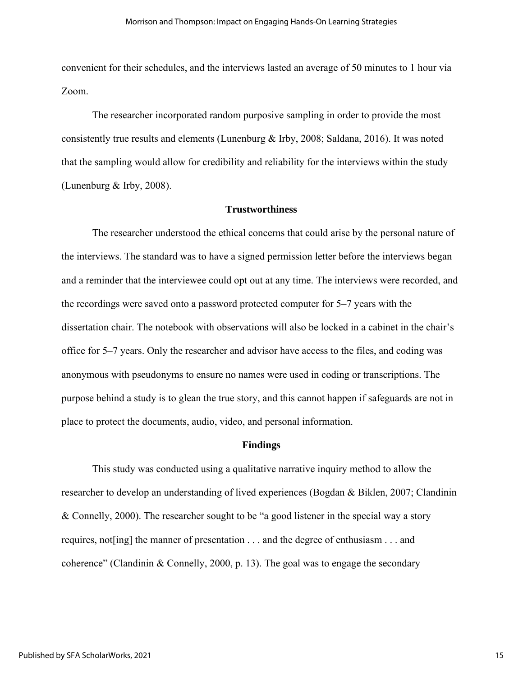convenient for their schedules, and the interviews lasted an average of 50 minutes to 1 hour via Zoom.

The researcher incorporated random purposive sampling in order to provide the most consistently true results and elements (Lunenburg & Irby, 2008; Saldana, 2016). It was noted that the sampling would allow for credibility and reliability for the interviews within the study (Lunenburg & Irby, 2008).

# **Trustworthiness**

The researcher understood the ethical concerns that could arise by the personal nature of the interviews. The standard was to have a signed permission letter before the interviews began and a reminder that the interviewee could opt out at any time. The interviews were recorded, and the recordings were saved onto a password protected computer for 5–7 years with the dissertation chair. The notebook with observations will also be locked in a cabinet in the chair's office for 5–7 years. Only the researcher and advisor have access to the files, and coding was anonymous with pseudonyms to ensure no names were used in coding or transcriptions. The purpose behind a study is to glean the true story, and this cannot happen if safeguards are not in place to protect the documents, audio, video, and personal information.

#### **Findings**

This study was conducted using a qualitative narrative inquiry method to allow the researcher to develop an understanding of lived experiences (Bogdan & Biklen, 2007; Clandinin & Connelly, 2000). The researcher sought to be "a good listener in the special way a story requires, not[ing] the manner of presentation . . . and the degree of enthusiasm . . . and coherence" (Clandinin & Connelly, 2000, p. 13). The goal was to engage the secondary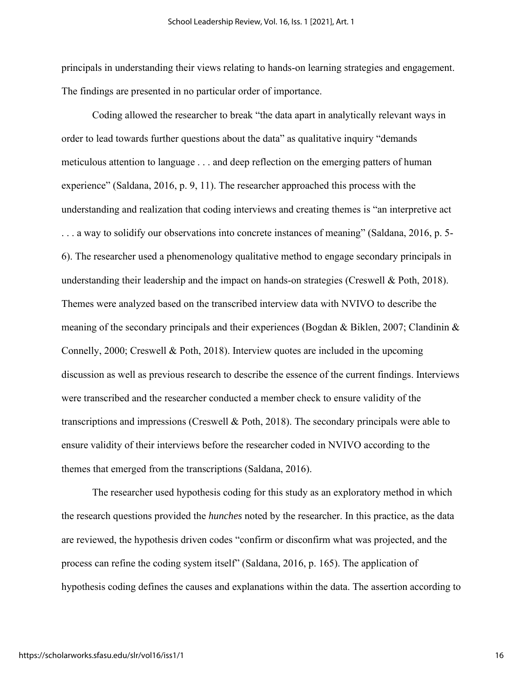principals in understanding their views relating to hands-on learning strategies and engagement. The findings are presented in no particular order of importance.

Coding allowed the researcher to break "the data apart in analytically relevant ways in order to lead towards further questions about the data" as qualitative inquiry "demands meticulous attention to language . . . and deep reflection on the emerging patters of human experience" (Saldana, 2016, p. 9, 11). The researcher approached this process with the understanding and realization that coding interviews and creating themes is "an interpretive act . . . a way to solidify our observations into concrete instances of meaning" (Saldana, 2016, p. 5- 6). The researcher used a phenomenology qualitative method to engage secondary principals in understanding their leadership and the impact on hands-on strategies (Creswell & Poth, 2018). Themes were analyzed based on the transcribed interview data with NVIVO to describe the meaning of the secondary principals and their experiences (Bogdan & Biklen, 2007; Clandinin & Connelly, 2000; Creswell & Poth, 2018). Interview quotes are included in the upcoming discussion as well as previous research to describe the essence of the current findings. Interviews were transcribed and the researcher conducted a member check to ensure validity of the transcriptions and impressions (Creswell & Poth, 2018). The secondary principals were able to ensure validity of their interviews before the researcher coded in NVIVO according to the themes that emerged from the transcriptions (Saldana, 2016).

The researcher used hypothesis coding for this study as an exploratory method in which the research questions provided the *hunches* noted by the researcher. In this practice, as the data are reviewed, the hypothesis driven codes "confirm or disconfirm what was projected, and the process can refine the coding system itself" (Saldana, 2016, p. 165). The application of hypothesis coding defines the causes and explanations within the data. The assertion according to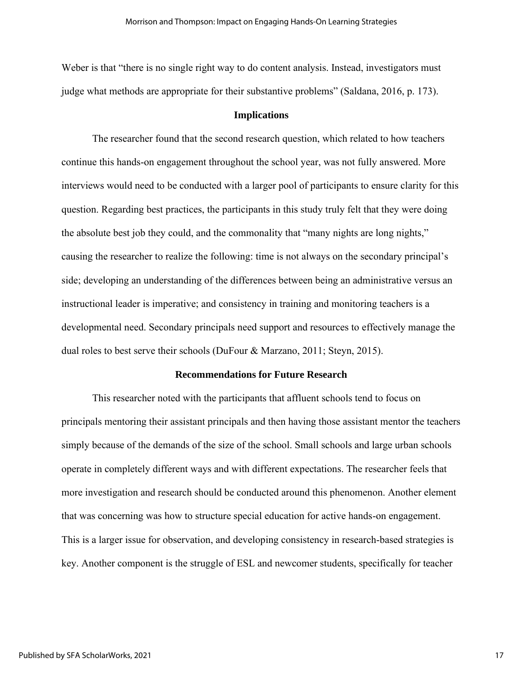Weber is that "there is no single right way to do content analysis. Instead, investigators must judge what methods are appropriate for their substantive problems" (Saldana, 2016, p. 173).

# **Implications**

The researcher found that the second research question, which related to how teachers continue this hands-on engagement throughout the school year, was not fully answered. More interviews would need to be conducted with a larger pool of participants to ensure clarity for this question. Regarding best practices, the participants in this study truly felt that they were doing the absolute best job they could, and the commonality that "many nights are long nights," causing the researcher to realize the following: time is not always on the secondary principal's side; developing an understanding of the differences between being an administrative versus an instructional leader is imperative; and consistency in training and monitoring teachers is a developmental need. Secondary principals need support and resources to effectively manage the dual roles to best serve their schools (DuFour & Marzano, 2011; Steyn, 2015).

## **Recommendations for Future Research**

This researcher noted with the participants that affluent schools tend to focus on principals mentoring their assistant principals and then having those assistant mentor the teachers simply because of the demands of the size of the school. Small schools and large urban schools operate in completely different ways and with different expectations. The researcher feels that more investigation and research should be conducted around this phenomenon. Another element that was concerning was how to structure special education for active hands-on engagement. This is a larger issue for observation, and developing consistency in research-based strategies is key. Another component is the struggle of ESL and newcomer students, specifically for teacher